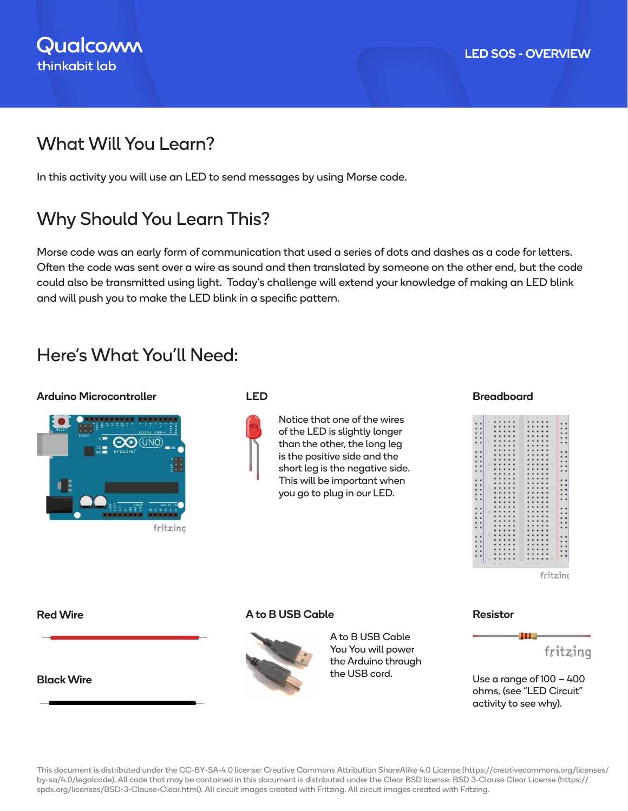## What Will You Learn?

In this activity you will use an LED to send messages by using Morse code.

# Why Should You Learn This?

Morse code was an early form of communication that used a series of dots and dashes as a code for letters. Often the code was sent over a wire as sound and then translated by someone on the other end, but the code could also be transmitted using light. Today's challenge will extend your knowledge of making an LED blink and will push you to make the LED blink in a specific pattern.

## Here's What You'll Need:

## Arduino Microcontroller LED Breadboard



Notice that one of the wires of the LED is slightly longer than the other, the long leg is the positive side and the short leg is the negative side. This will be important when you go to plug in our LED.



#### Red Wire

### Black Wire

### A to B USB Cable



A to B USB Cable You You will power the Arduino through the USB cord.

#### Resistor



Use a range of 100 – 400 ohms, (see "LED Circuit" activity to see why).

This document is distributed under the CC-BY-SA-4.0 license: Creative Commons Attribution ShareAlike 4.0 License (https://creativecommons.org/licenses/ by-sa/4.0/legalcode). All code that may be contained in this document is distributed under the Clear BSD license: BSD 3-Clause Clear License (https:// spdx.org/licenses/BSD-3-Clause-Clear.html). All circuit images created with Fritzing. All circuit images created with Fritzing.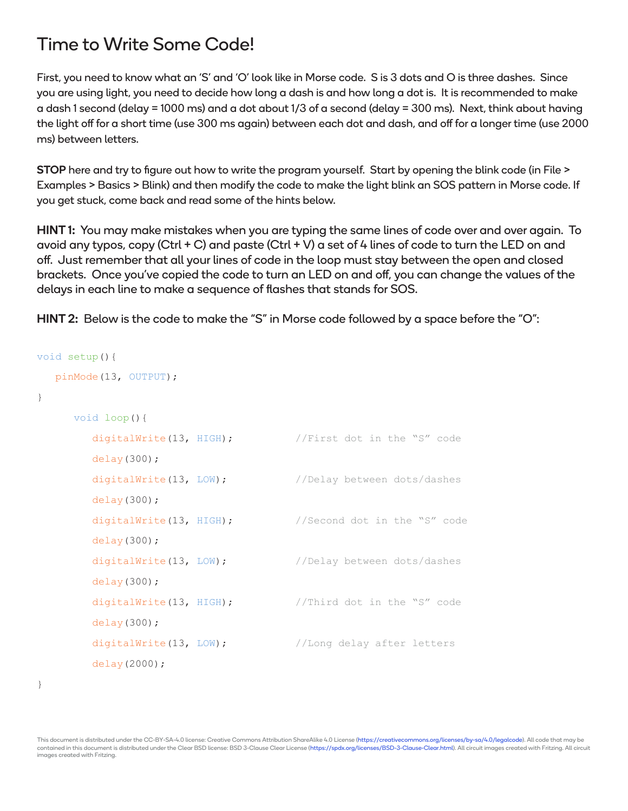## Time to Write Some Code!

First, you need to know what an 'S' and 'O' look like in Morse code. S is 3 dots and O is three dashes. Since you are using light, you need to decide how long a dash is and how long a dot is. It is recommended to make a dash 1 second (delay = 1000 ms) and a dot about 1/3 of a second (delay = 300 ms). Next, think about having the light off for a short time (use 300 ms again) between each dot and dash, and off for a longer time (use 2000 ms) between letters.

STOP here and try to figure out how to write the program yourself. Start by opening the blink code (in File > Examples > Basics > Blink) and then modify the code to make the light blink an SOS pattern in Morse code. If you get stuck, come back and read some of the hints below.

HINT 1: You may make mistakes when you are typing the same lines of code over and over again. To avoid any typos, copy (Ctrl + C) and paste (Ctrl + V) a set of 4 lines of code to turn the LED on and off. Just remember that all your lines of code in the loop must stay between the open and closed brackets. Once you've copied the code to turn an LED on and off, you can change the values of the delays in each line to make a sequence of flashes that stands for SOS.

HINT 2: Below is the code to make the "S" in Morse code followed by a space before the "O":

```
void setup(){
   pinMode(13, OUTPUT);
}
     void loop(){
        digitalWrite(13, HIGH); //First dot in the "S" code
        delay(300);digitalWrite(13, LOW); //Delay between dots/dashes
         delay(300);
         digitalWrite(13, HIGH); //Second dot in the "S" code
         delay(300);
        digitalWrite(13, LOW); //Delay between dots/dashes
         delay(300);
         digitalWrite(13, HIGH); //Third dot in the "S" code
         delay(300);
         digitalWrite(13, LOW); //Long delay after letters
         delay(2000);
```

```
}
```
This document is distributed under the CC-BY-SA-4.0 license: Creative Commons Attribution ShareAlike 4.0 License (https://creativecommons.org/licenses/by-sa/4.0/legalcode). All code that may be contained in this document is distributed under the Clear BSD license: BSD 3-Clause Clear License (https://spdx.org/licenses/BSD-3-Clause-Clear.html). All circuit images created with Fritzing. All circuit images created with Fritzing.